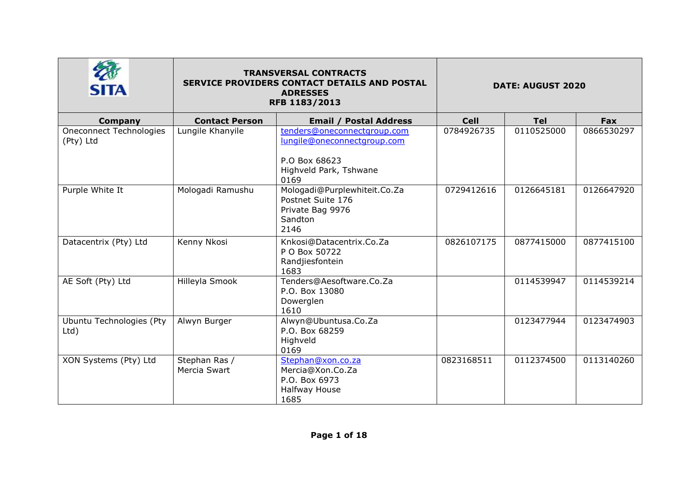| <b>SITA</b>                                 | <b>TRANSVERSAL CONTRACTS</b><br>SERVICE PROVIDERS CONTACT DETAILS AND POSTAL<br><b>ADRESSES</b><br>RFB 1183/2013 |                                                                                                               | <b>DATE: AUGUST 2020</b> |            |            |
|---------------------------------------------|------------------------------------------------------------------------------------------------------------------|---------------------------------------------------------------------------------------------------------------|--------------------------|------------|------------|
| <b>Company</b>                              | <b>Contact Person</b>                                                                                            | <b>Email / Postal Address</b>                                                                                 | <b>Cell</b>              | <b>Tel</b> | Fax        |
| <b>Oneconnect Technologies</b><br>(Pty) Ltd | Lungile Khanyile                                                                                                 | tenders@oneconnectgroup.com<br>lungile@oneconnectgroup.com<br>P.O Box 68623<br>Highveld Park, Tshwane<br>0169 | 0784926735               | 0110525000 | 0866530297 |
| Purple White It                             | Mologadi Ramushu                                                                                                 | Mologadi@Purplewhiteit.Co.Za<br>Postnet Suite 176<br>Private Bag 9976<br>Sandton<br>2146                      | 0729412616               | 0126645181 | 0126647920 |
| Datacentrix (Pty) Ltd                       | Kenny Nkosi                                                                                                      | Knkosi@Datacentrix.Co.Za<br>P O Box 50722<br>Randjiesfontein<br>1683                                          | 0826107175               | 0877415000 | 0877415100 |
| AE Soft (Pty) Ltd                           | Hilleyla Smook                                                                                                   | Tenders@Aesoftware.Co.Za<br>P.O. Box 13080<br>Dowerglen<br>1610                                               |                          | 0114539947 | 0114539214 |
| Ubuntu Technologies (Pty<br>$Ltd$ )         | Alwyn Burger                                                                                                     | Alwyn@Ubuntusa.Co.Za<br>P.O. Box 68259<br>Highveld<br>0169                                                    |                          | 0123477944 | 0123474903 |
| XON Systems (Pty) Ltd                       | Stephan Ras /<br>Mercia Swart                                                                                    | Stephan@xon.co.za<br>Mercia@Xon.Co.Za<br>P.O. Box 6973<br>Halfway House<br>1685                               | 0823168511               | 0112374500 | 0113140260 |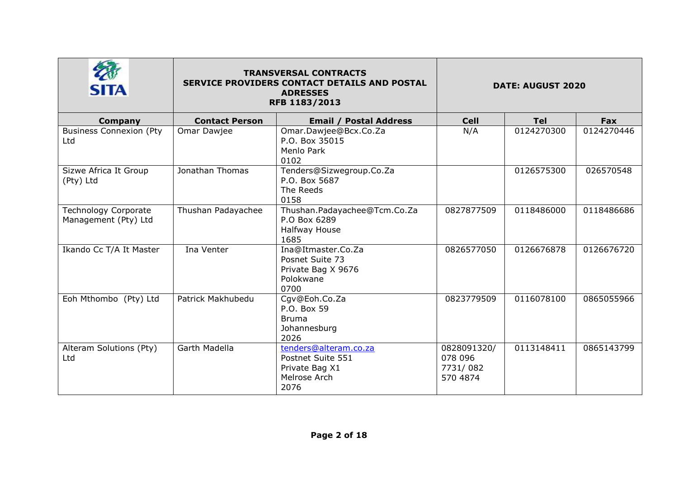| <b>SITA</b>                                         | <b>TRANSVERSAL CONTRACTS</b><br>SERVICE PROVIDERS CONTACT DETAILS AND POSTAL<br><b>ADRESSES</b><br>RFB 1183/2013 |                                                                                      | <b>DATE: AUGUST 2020</b>                       |            |            |
|-----------------------------------------------------|------------------------------------------------------------------------------------------------------------------|--------------------------------------------------------------------------------------|------------------------------------------------|------------|------------|
| <b>Company</b>                                      | <b>Contact Person</b>                                                                                            | <b>Email / Postal Address</b>                                                        | <b>Cell</b>                                    | <b>Tel</b> | <b>Fax</b> |
| <b>Business Connexion (Pty</b><br>Ltd               | Omar Dawjee                                                                                                      | Omar.Dawjee@Bcx.Co.Za<br>P.O. Box 35015<br>Menlo Park<br>0102                        | N/A                                            | 0124270300 | 0124270446 |
| Sizwe Africa It Group<br>(Pty) Ltd                  | Jonathan Thomas                                                                                                  | Tenders@Sizwegroup.Co.Za<br>P.O. Box 5687<br>The Reeds<br>0158                       |                                                | 0126575300 | 026570548  |
| <b>Technology Corporate</b><br>Management (Pty) Ltd | Thushan Padayachee                                                                                               | Thushan.Padayachee@Tcm.Co.Za<br>P.O Box 6289<br>Halfway House<br>1685                | 0827877509                                     | 0118486000 | 0118486686 |
| Ikando Cc T/A It Master                             | Ina Venter                                                                                                       | Ina@Itmaster.Co.Za<br>Posnet Suite 73<br>Private Bag X 9676<br>Polokwane<br>0700     | 0826577050                                     | 0126676878 | 0126676720 |
| Eoh Mthombo (Pty) Ltd                               | Patrick Makhubedu                                                                                                | Cgv@Eoh.Co.Za<br>P.O. Box 59<br><b>Bruma</b><br>Johannesburg<br>2026                 | 0823779509                                     | 0116078100 | 0865055966 |
| Alteram Solutions (Pty)<br>Ltd                      | Garth Madella                                                                                                    | tenders@alteram.co.za<br>Postnet Suite 551<br>Private Bag X1<br>Melrose Arch<br>2076 | 0828091320/<br>078 096<br>7731/082<br>570 4874 | 0113148411 | 0865143799 |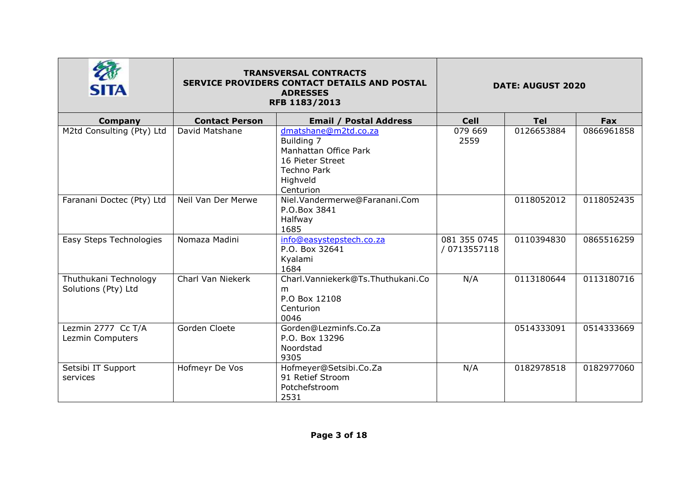| <b>SITA</b>                                  |                       | <b>TRANSVERSAL CONTRACTS</b><br>SERVICE PROVIDERS CONTACT DETAILS AND POSTAL<br><b>ADRESSES</b><br>RFB 1183/2013               | <b>DATE: AUGUST 2020</b>     |            |            |
|----------------------------------------------|-----------------------|--------------------------------------------------------------------------------------------------------------------------------|------------------------------|------------|------------|
| <b>Company</b>                               | <b>Contact Person</b> | <b>Email / Postal Address</b>                                                                                                  | <b>Cell</b>                  | <b>Tel</b> | Fax        |
| M2td Consulting (Pty) Ltd                    | David Matshane        | dmatshane@m2td.co.za<br>Building 7<br>Manhattan Office Park<br>16 Pieter Street<br><b>Techno Park</b><br>Highveld<br>Centurion | 079 669<br>2559              | 0126653884 | 0866961858 |
| Faranani Doctec (Pty) Ltd                    | Neil Van Der Merwe    | Niel.Vandermerwe@Faranani.Com<br>P.O.Box 3841<br>Halfway<br>1685                                                               |                              | 0118052012 | 0118052435 |
| Easy Steps Technologies                      | Nomaza Madini         | info@easystepstech.co.za<br>P.O. Box 32641<br>Kyalami<br>1684                                                                  | 081 355 0745<br>/ 0713557118 | 0110394830 | 0865516259 |
| Thuthukani Technology<br>Solutions (Pty) Ltd | Charl Van Niekerk     | Charl.Vanniekerk@Ts.Thuthukani.Co<br>m<br>P.O Box 12108<br>Centurion<br>0046                                                   | N/A                          | 0113180644 | 0113180716 |
| Lezmin 2777 Cc T/A<br>Lezmin Computers       | Gorden Cloete         | Gorden@Lezminfs.Co.Za<br>P.O. Box 13296<br>Noordstad<br>9305                                                                   |                              | 0514333091 | 0514333669 |
| Setsibi IT Support<br>services               | Hofmeyr De Vos        | Hofmeyer@Setsibi.Co.Za<br>91 Retief Stroom<br>Potchefstroom<br>2531                                                            | N/A                          | 0182978518 | 0182977060 |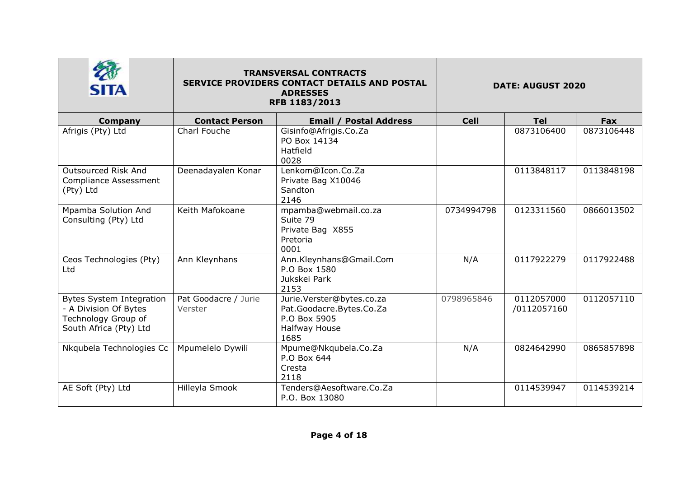| <b>SITA</b>                                                                                               | <b>TRANSVERSAL CONTRACTS</b><br>SERVICE PROVIDERS CONTACT DETAILS AND POSTAL<br><b>ADRESSES</b><br>RFB 1183/2013 |                                                                                                | <b>DATE: AUGUST 2020</b> |                           |            |
|-----------------------------------------------------------------------------------------------------------|------------------------------------------------------------------------------------------------------------------|------------------------------------------------------------------------------------------------|--------------------------|---------------------------|------------|
| Company                                                                                                   | <b>Contact Person</b>                                                                                            | <b>Email / Postal Address</b>                                                                  | <b>Cell</b>              | <b>Tel</b>                | <b>Fax</b> |
| Afrigis (Pty) Ltd                                                                                         | Charl Fouche                                                                                                     | Gisinfo@Afrigis.Co.Za<br>PO Box 14134<br>Hatfield<br>0028                                      |                          | 0873106400                | 0873106448 |
| Outsourced Risk And<br><b>Compliance Assessment</b><br>(Pty) Ltd                                          | Deenadayalen Konar                                                                                               | Lenkom@Icon.Co.Za<br>Private Bag X10046<br>Sandton<br>2146                                     |                          | 0113848117                | 0113848198 |
| Mpamba Solution And<br>Consulting (Pty) Ltd                                                               | Keith Mafokoane                                                                                                  | mpamba@webmail.co.za<br>Suite 79<br>Private Bag X855<br>Pretoria<br>0001                       | 0734994798               | 0123311560                | 0866013502 |
| Ceos Technologies (Pty)<br>Ltd                                                                            | Ann Kleynhans                                                                                                    | Ann.Kleynhans@Gmail.Com<br>P.O Box 1580<br>Jukskei Park<br>2153                                | N/A                      | 0117922279                | 0117922488 |
| <b>Bytes System Integration</b><br>- A Division Of Bytes<br>Technology Group of<br>South Africa (Pty) Ltd | Pat Goodacre / Jurie<br>Verster                                                                                  | Jurie.Verster@bytes.co.za<br>Pat.Goodacre.Bytes.Co.Za<br>P.O Box 5905<br>Halfway House<br>1685 | 0798965846               | 0112057000<br>/0112057160 | 0112057110 |
| Nkqubela Technologies Cc                                                                                  | Mpumelelo Dywili                                                                                                 | Mpume@Nkqubela.Co.Za<br>P.O Box 644<br>Cresta<br>2118                                          | N/A                      | 0824642990                | 0865857898 |
| AE Soft (Pty) Ltd                                                                                         | Hilleyla Smook                                                                                                   | Tenders@Aesoftware.Co.Za<br>P.O. Box 13080                                                     |                          | 0114539947                | 0114539214 |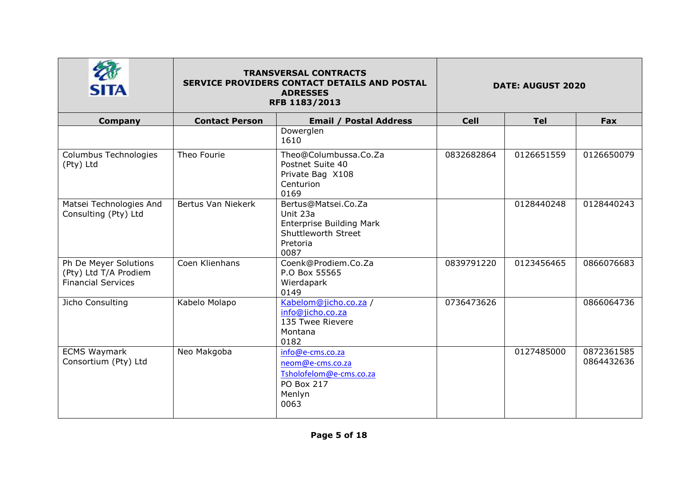|                                                                             | <b>TRANSVERSAL CONTRACTS</b><br>SERVICE PROVIDERS CONTACT DETAILS AND POSTAL<br><b>ADRESSES</b><br>RFB 1183/2013 |                                                                                                                      | <b>DATE: AUGUST 2020</b> |            |                          |
|-----------------------------------------------------------------------------|------------------------------------------------------------------------------------------------------------------|----------------------------------------------------------------------------------------------------------------------|--------------------------|------------|--------------------------|
| Company                                                                     | <b>Contact Person</b>                                                                                            | <b>Email / Postal Address</b>                                                                                        | <b>Cell</b>              | <b>Tel</b> | Fax                      |
|                                                                             |                                                                                                                  | Dowerglen<br>1610                                                                                                    |                          |            |                          |
| Columbus Technologies<br>(Pty) Ltd                                          | Theo Fourie                                                                                                      | Theo@Columbussa.Co.Za<br>Postnet Suite 40<br>Private Bag X108<br>Centurion<br>0169                                   | 0832682864               | 0126651559 | 0126650079               |
| Matsei Technologies And<br>Consulting (Pty) Ltd                             | Bertus Van Niekerk                                                                                               | Bertus@Matsei.Co.Za<br>Unit 23a<br><b>Enterprise Building Mark</b><br><b>Shuttleworth Street</b><br>Pretoria<br>0087 |                          | 0128440248 | 0128440243               |
| Ph De Meyer Solutions<br>(Pty) Ltd T/A Prodiem<br><b>Financial Services</b> | Coen Klienhans                                                                                                   | Coenk@Prodiem.Co.Za<br>P.O Box 55565<br>Wierdapark<br>0149                                                           | 0839791220               | 0123456465 | 0866076683               |
| Jicho Consulting                                                            | Kabelo Molapo                                                                                                    | Kabelom@jicho.co.za /<br>info@jicho.co.za<br>135 Twee Rievere<br>Montana<br>0182                                     | 0736473626               |            | 0866064736               |
| <b>ECMS Waymark</b><br>Consortium (Pty) Ltd                                 | Neo Makgoba                                                                                                      | info@e-cms.co.za<br>neom@e-cms.co.za<br>Tsholofelom@e-cms.co.za<br>PO Box 217<br>Menlyn<br>0063                      |                          | 0127485000 | 0872361585<br>0864432636 |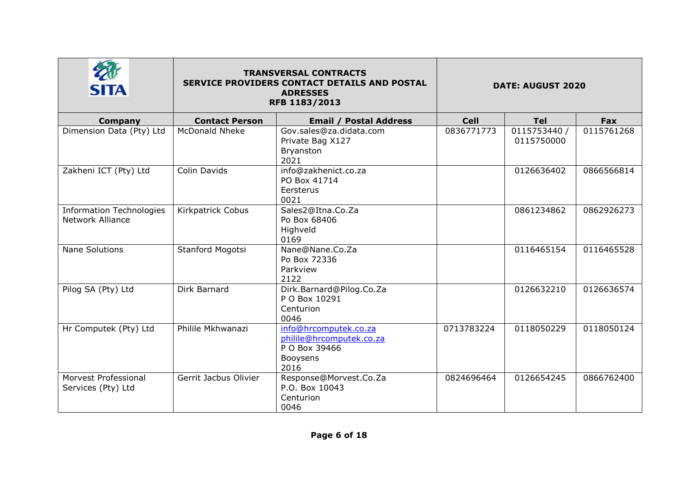|                                                            | <b>TRANSVERSAL CONTRACTS</b><br>SERVICE PROVIDERS CONTACT DETAILS AND POSTAL<br><b>ADRESSES</b><br>RFB 1183/2013 |                                                                                        | <b>DATE: AUGUST 2020</b> |                            |            |
|------------------------------------------------------------|------------------------------------------------------------------------------------------------------------------|----------------------------------------------------------------------------------------|--------------------------|----------------------------|------------|
| Company                                                    | <b>Contact Person</b>                                                                                            | <b>Email / Postal Address</b>                                                          | <b>Cell</b>              | <b>Tel</b>                 | Fax        |
| Dimension Data (Pty) Ltd                                   | <b>McDonald Nheke</b>                                                                                            | Gov.sales@za.didata.com<br>Private Bag X127<br>Bryanston<br>2021                       | 0836771773               | 0115753440 /<br>0115750000 | 0115761268 |
| Zakheni ICT (Pty) Ltd                                      | Colin Davids                                                                                                     | info@zakhenict.co.za<br>PO Box 41714<br>Eersterus<br>0021                              |                          | 0126636402                 | 0866566814 |
| <b>Information Technologies</b><br><b>Network Alliance</b> | Kirkpatrick Cobus                                                                                                | Sales2@Itna.Co.Za<br>Po Box 68406<br>Highveld<br>0169                                  |                          | 0861234862                 | 0862926273 |
| <b>Nane Solutions</b>                                      | Stanford Mogotsi                                                                                                 | Nane@Nane.Co.Za<br>Po Box 72336<br>Parkview<br>2122                                    |                          | 0116465154                 | 0116465528 |
| Pilog SA (Pty) Ltd                                         | Dirk Barnard                                                                                                     | Dirk.Barnard@Pilog.Co.Za<br>P O Box 10291<br>Centurion<br>0046                         |                          | 0126632210                 | 0126636574 |
| Hr Computek (Pty) Ltd                                      | Philile Mkhwanazi                                                                                                | info@hrcomputek.co.za<br>philile@hrcomputek.co.za<br>P O Box 39466<br>Booysens<br>2016 | 0713783224               | 0118050229                 | 0118050124 |
| Morvest Professional<br>Services (Pty) Ltd                 | Gerrit Jacbus Olivier                                                                                            | Response@Morvest.Co.Za<br>P.O. Box 10043<br>Centurion<br>0046                          | 0824696464               | 0126654245                 | 0866762400 |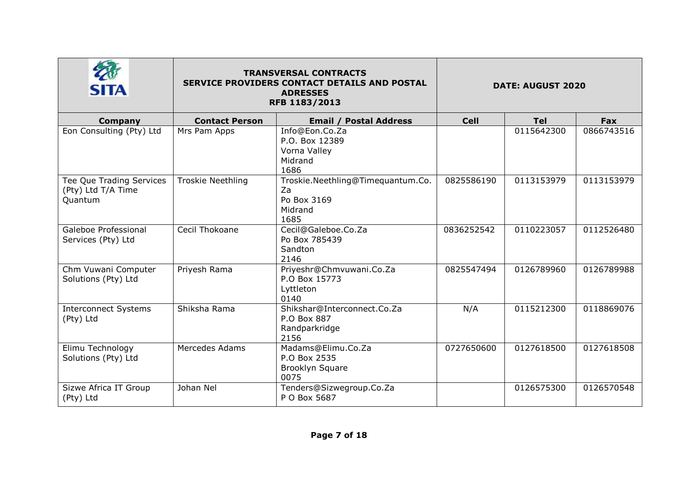| <b>SITA</b>                                               | <b>TRANSVERSAL CONTRACTS</b><br><b>SERVICE PROVIDERS CONTACT DETAILS AND POSTAL</b><br><b>ADRESSES</b><br>RFB 1183/2013 |                                                                           | <b>DATE: AUGUST 2020</b> |            |            |
|-----------------------------------------------------------|-------------------------------------------------------------------------------------------------------------------------|---------------------------------------------------------------------------|--------------------------|------------|------------|
| <b>Company</b>                                            | <b>Contact Person</b>                                                                                                   | <b>Email / Postal Address</b>                                             | <b>Cell</b>              | <b>Tel</b> | Fax        |
| Eon Consulting (Pty) Ltd                                  | Mrs Pam Apps                                                                                                            | Info@Eon.Co.Za<br>P.O. Box 12389<br>Vorna Valley<br>Midrand<br>1686       |                          | 0115642300 | 0866743516 |
| Tee Que Trading Services<br>(Pty) Ltd T/A Time<br>Quantum | <b>Troskie Neethling</b>                                                                                                | Troskie.Neethling@Timequantum.Co.<br>Za<br>Po Box 3169<br>Midrand<br>1685 | 0825586190               | 0113153979 | 0113153979 |
| Galeboe Professional<br>Services (Pty) Ltd                | Cecil Thokoane                                                                                                          | Cecil@Galeboe.Co.Za<br>Po Box 785439<br>Sandton<br>2146                   | 0836252542               | 0110223057 | 0112526480 |
| Chm Vuwani Computer<br>Solutions (Pty) Ltd                | Priyesh Rama                                                                                                            | Priyeshr@Chmvuwani.Co.Za<br>P.O Box 15773<br>Lyttleton<br>0140            | 0825547494               | 0126789960 | 0126789988 |
| <b>Interconnect Systems</b><br>(Pty) Ltd                  | Shiksha Rama                                                                                                            | Shikshar@Interconnect.Co.Za<br>P.O Box 887<br>Randparkridge<br>2156       | N/A                      | 0115212300 | 0118869076 |
| Elimu Technology<br>Solutions (Pty) Ltd                   | Mercedes Adams                                                                                                          | Madams@Elimu.Co.Za<br>P.O Box 2535<br>Brooklyn Square<br>0075             | 0727650600               | 0127618500 | 0127618508 |
| Sizwe Africa IT Group<br>(Pty) Ltd                        | Johan Nel                                                                                                               | Tenders@Sizwegroup.Co.Za<br>P O Box 5687                                  |                          | 0126575300 | 0126570548 |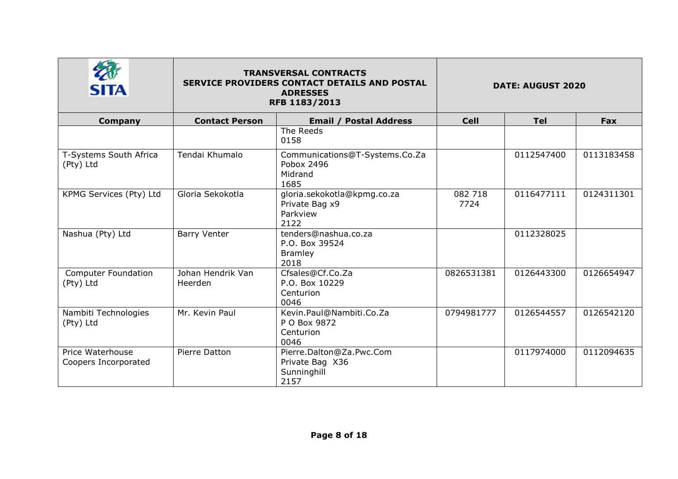| <b>SITA</b>                              |                              | <b>TRANSVERSAL CONTRACTS</b><br>SERVICE PROVIDERS CONTACT DETAILS AND POSTAL<br><b>ADRESSES</b><br>RFB 1183/2013 |                 | <b>DATE: AUGUST 2020</b> |            |
|------------------------------------------|------------------------------|------------------------------------------------------------------------------------------------------------------|-----------------|--------------------------|------------|
| <b>Company</b>                           | <b>Contact Person</b>        | Email /<br><b>Postal Address</b>                                                                                 | <b>Cell</b>     | <b>Tel</b>               | <b>Fax</b> |
|                                          |                              | The Reeds<br>0158                                                                                                |                 |                          |            |
| T-Systems South Africa<br>(Pty) Ltd      | Tendai Khumalo               | Communications@T-Systems.Co.Za<br>Pobox 2496<br>Midrand<br>1685                                                  |                 | 0112547400               | 0113183458 |
| KPMG Services (Pty) Ltd                  | Gloria Sekokotla             | gloria.sekokotla@kpmg.co.za<br>Private Bag x9<br>Parkview<br>2122                                                | 082 718<br>7724 | 0116477111               | 0124311301 |
| Nashua (Pty) Ltd                         | <b>Barry Venter</b>          | tenders@nashua.co.za<br>P.O. Box 39524<br><b>Bramley</b><br>2018                                                 |                 | 0112328025               |            |
| <b>Computer Foundation</b><br>(Pty) Ltd  | Johan Hendrik Van<br>Heerden | Cfsales@Cf.Co.Za<br>P.O. Box 10229<br>Centurion<br>0046                                                          | 0826531381      | 0126443300               | 0126654947 |
| Nambiti Technologies<br>(Pty) Ltd        | Mr. Kevin Paul               | Kevin.Paul@Nambiti.Co.Za<br>P O Box 9872<br>Centurion<br>0046                                                    | 0794981777      | 0126544557               | 0126542120 |
| Price Waterhouse<br>Coopers Incorporated | Pierre Datton                | Pierre.Dalton@Za.Pwc.Com<br>Private Bag X36<br>Sunninghill<br>2157                                               |                 | 0117974000               | 0112094635 |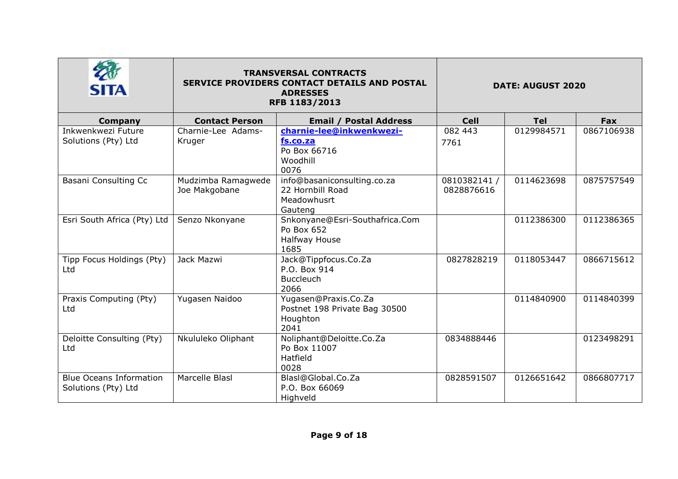| <b>SITA</b>                                           | <b>TRANSVERSAL CONTRACTS</b><br>SERVICE PROVIDERS CONTACT DETAILS AND POSTAL<br><b>ADRESSES</b><br>RFB 1183/2013 |                                                                           | <b>DATE: AUGUST 2020</b>   |            |            |
|-------------------------------------------------------|------------------------------------------------------------------------------------------------------------------|---------------------------------------------------------------------------|----------------------------|------------|------------|
| <b>Company</b>                                        | <b>Contact Person</b>                                                                                            | <b>Email / Postal Address</b>                                             | <b>Cell</b>                | <b>Tel</b> | <b>Fax</b> |
| Inkwenkwezi Future<br>Solutions (Pty) Ltd             | Charnie-Lee Adams-<br>Kruger                                                                                     | charnie-lee@inkwenkwezi-<br>fs.co.za<br>Po Box 66716<br>Woodhill<br>0076  | 082 443<br>7761            | 0129984571 | 0867106938 |
| Basani Consulting Cc                                  | Mudzimba Ramagwede<br>Joe Makgobane                                                                              | info@basaniconsulting.co.za<br>22 Hornbill Road<br>Meadowhusrt<br>Gauteng | 0810382141 /<br>0828876616 | 0114623698 | 0875757549 |
| Esri South Africa (Pty) Ltd                           | Senzo Nkonyane                                                                                                   | Snkonyane@Esri-Southafrica.Com<br>Po Box 652<br>Halfway House<br>1685     |                            | 0112386300 | 0112386365 |
| Tipp Focus Holdings (Pty)<br>Ltd                      | Jack Mazwi                                                                                                       | Jack@Tippfocus.Co.Za<br>P.O. Box 914<br><b>Buccleuch</b><br>2066          | 0827828219                 | 0118053447 | 0866715612 |
| Praxis Computing (Pty)<br>Ltd                         | Yugasen Naidoo                                                                                                   | Yugasen@Praxis.Co.Za<br>Postnet 198 Private Bag 30500<br>Houghton<br>2041 |                            | 0114840900 | 0114840399 |
| Deloitte Consulting (Pty)<br>Ltd                      | Nkululeko Oliphant                                                                                               | Noliphant@Deloitte.Co.Za<br>Po Box 11007<br>Hatfield<br>0028              | 0834888446                 |            | 0123498291 |
| <b>Blue Oceans Information</b><br>Solutions (Pty) Ltd | Marcelle Blasl                                                                                                   | Blasl@Global.Co.Za<br>P.O. Box 66069<br>Highveld                          | 0828591507                 | 0126651642 | 0866807717 |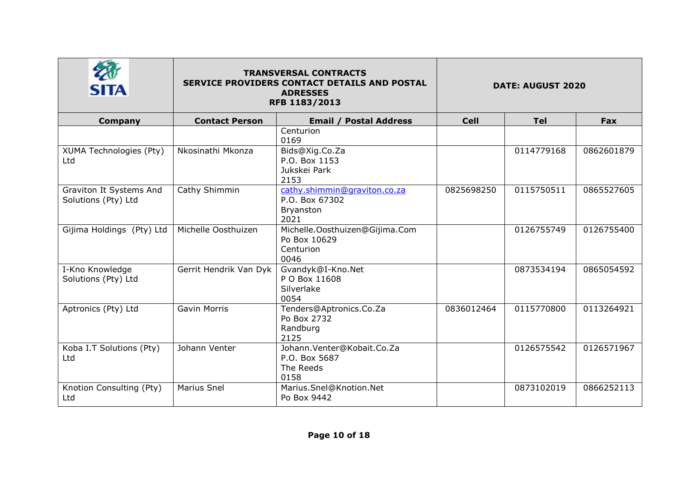| <b>SITA</b>                                    | <b>TRANSVERSAL CONTRACTS</b><br><b>SERVICE PROVIDERS CONTACT DETAILS AND POSTAL</b><br><b>ADRESSES</b><br>RFB 1183/2013 |                                                                     | <b>DATE: AUGUST 2020</b> |            |            |
|------------------------------------------------|-------------------------------------------------------------------------------------------------------------------------|---------------------------------------------------------------------|--------------------------|------------|------------|
| <b>Company</b>                                 | <b>Contact Person</b>                                                                                                   | <b>Email / Postal Address</b>                                       | <b>Cell</b>              | <b>Tel</b> | Fax        |
|                                                |                                                                                                                         | Centurion<br>0169                                                   |                          |            |            |
| XUMA Technologies (Pty)<br>Ltd                 | Nkosinathi Mkonza                                                                                                       | Bids@Xig.Co.Za<br>P.O. Box 1153<br>Jukskei Park<br>2153             |                          | 0114779168 | 0862601879 |
| Graviton It Systems And<br>Solutions (Pty) Ltd | Cathy Shimmin                                                                                                           | cathy.shimmin@graviton.co.za<br>P.O. Box 67302<br>Bryanston<br>2021 | 0825698250               | 0115750511 | 0865527605 |
| Gijima Holdings (Pty) Ltd                      | Michelle Oosthuizen                                                                                                     | Michelle.Oosthuizen@Gijima.Com<br>Po Box 10629<br>Centurion<br>0046 |                          | 0126755749 | 0126755400 |
| I-Kno Knowledge<br>Solutions (Pty) Ltd         | Gerrit Hendrik Van Dyk                                                                                                  | Gvandyk@I-Kno.Net<br>P O Box 11608<br>Silverlake<br>0054            |                          | 0873534194 | 0865054592 |
| Aptronics (Pty) Ltd                            | <b>Gavin Morris</b>                                                                                                     | Tenders@Aptronics.Co.Za<br>Po Box 2732<br>Randburg<br>2125          | 0836012464               | 0115770800 | 0113264921 |
| Koba I.T Solutions (Pty)<br>Ltd                | Johann Venter                                                                                                           | Johann.Venter@Kobait.Co.Za<br>P.O. Box 5687<br>The Reeds<br>0158    |                          | 0126575542 | 0126571967 |
| Knotion Consulting (Pty)<br>Ltd                | <b>Marius Snel</b>                                                                                                      | Marius.Snel@Knotion.Net<br>Po Box 9442                              |                          | 0873102019 | 0866252113 |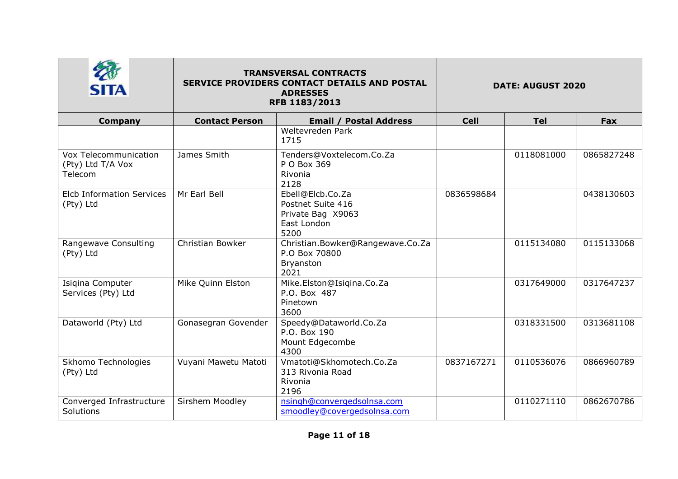|                                                       |                       | <b>TRANSVERSAL CONTRACTS</b><br><b>SERVICE PROVIDERS CONTACT DETAILS AND POSTAL</b><br><b>ADRESSES</b><br>RFB 1183/2013 |             | <b>DATE: AUGUST 2020</b> |            |
|-------------------------------------------------------|-----------------------|-------------------------------------------------------------------------------------------------------------------------|-------------|--------------------------|------------|
| <b>Company</b>                                        | <b>Contact Person</b> | <b>Email / Postal Address</b>                                                                                           | <b>Cell</b> | <b>Tel</b>               | <b>Fax</b> |
|                                                       |                       | Weltevreden Park<br>1715                                                                                                |             |                          |            |
| Vox Telecommunication<br>(Pty) Ltd T/A Vox<br>Telecom | James Smith           | Tenders@Voxtelecom.Co.Za<br>P O Box 369<br>Rivonia<br>2128                                                              |             | 0118081000               | 0865827248 |
| <b>Elcb Information Services</b><br>(Pty) Ltd         | Mr Earl Bell          | Ebell@Elcb.Co.Za<br>Postnet Suite 416<br>Private Bag X9063<br>East London<br>5200                                       | 0836598684  |                          | 0438130603 |
| Rangewave Consulting<br>(Pty) Ltd                     | Christian Bowker      | Christian.Bowker@Rangewave.Co.Za<br>P.O Box 70800<br>Bryanston<br>2021                                                  |             | 0115134080               | 0115133068 |
| Isigina Computer<br>Services (Pty) Ltd                | Mike Quinn Elston     | Mike.Elston@Isiqina.Co.Za<br>P.O. Box 487<br>Pinetown<br>3600                                                           |             | 0317649000               | 0317647237 |
| Dataworld (Pty) Ltd                                   | Gonasegran Govender   | Speedy@Dataworld.Co.Za<br>P.O. Box 190<br>Mount Edgecombe<br>4300                                                       |             | 0318331500               | 0313681108 |
| Skhomo Technologies<br>(Pty) Ltd                      | Vuyani Mawetu Matoti  | Vmatoti@Skhomotech.Co.Za<br>313 Rivonia Road<br>Rivonia<br>2196                                                         | 0837167271  | 0110536076               | 0866960789 |
| Converged Infrastructure<br><b>Solutions</b>          | Sirshem Moodley       | nsingh@convergedsolnsa.com<br>smoodley@covergedsolnsa.com                                                               |             | 0110271110               | 0862670786 |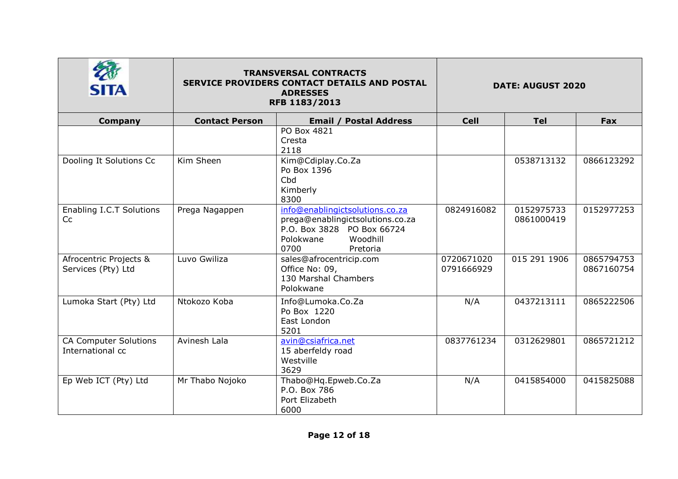|                                                  | <b>TRANSVERSAL CONTRACTS</b><br>SERVICE PROVIDERS CONTACT DETAILS AND POSTAL<br><b>ADRESSES</b><br>RFB 1183/2013 |                                                                                                                                                | <b>DATE: AUGUST 2020</b> |                          |                          |
|--------------------------------------------------|------------------------------------------------------------------------------------------------------------------|------------------------------------------------------------------------------------------------------------------------------------------------|--------------------------|--------------------------|--------------------------|
| Company                                          | <b>Contact Person</b>                                                                                            | <b>Email / Postal Address</b>                                                                                                                  | <b>Cell</b>              | <b>Tel</b>               | Fax                      |
|                                                  |                                                                                                                  | PO Box 4821<br>Cresta<br>2118                                                                                                                  |                          |                          |                          |
| Dooling It Solutions Cc                          | Kim Sheen                                                                                                        | Kim@Cdiplay.Co.Za<br>Po Box 1396<br>Cbd<br>Kimberly<br>8300                                                                                    |                          | 0538713132               | 0866123292               |
| Enabling I.C.T Solutions<br>Cc                   | Prega Nagappen                                                                                                   | info@enablingictsolutions.co.za<br>prega@enablingictsolutions.co.za<br>P.O. Box 3828 PO Box 66724<br>Woodhill<br>Polokwane<br>0700<br>Pretoria | 0824916082               | 0152975733<br>0861000419 | 0152977253               |
| Afrocentric Projects &<br>Services (Pty) Ltd     | Luvo Gwiliza                                                                                                     | sales@afrocentricip.com<br>Office No: 09,<br>130 Marshal Chambers<br>Polokwane                                                                 | 0720671020<br>0791666929 | 015 291 1906             | 0865794753<br>0867160754 |
| Lumoka Start (Pty) Ltd                           | Ntokozo Koba                                                                                                     | Info@Lumoka.Co.Za<br>Po Box 1220<br>East London<br>5201                                                                                        | N/A                      | 0437213111               | 0865222506               |
| <b>CA Computer Solutions</b><br>International cc | Avinesh Lala                                                                                                     | avin@csiafrica.net<br>15 aberfeldy road<br>Westville<br>3629                                                                                   | 0837761234               | 0312629801               | 0865721212               |
| Ep Web ICT (Pty) Ltd                             | Mr Thabo Nojoko                                                                                                  | Thabo@Hq.Epweb.Co.Za<br>P.O. Box 786<br>Port Elizabeth<br>6000                                                                                 | N/A                      | 0415854000               | 0415825088               |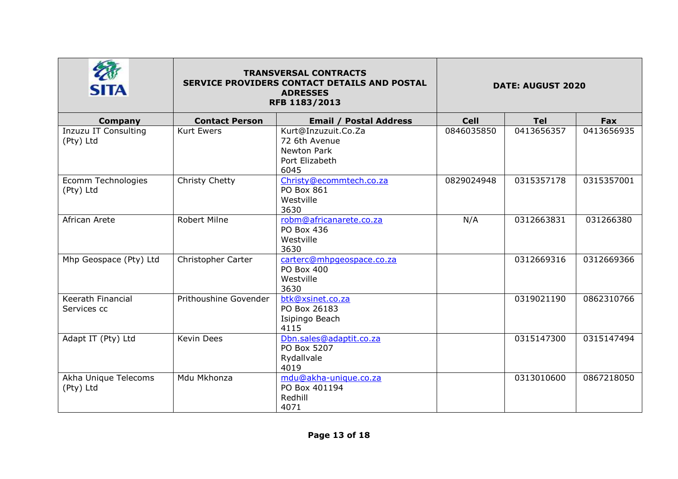| SITA                                     | <b>TRANSVERSAL CONTRACTS</b><br><b>SERVICE PROVIDERS CONTACT DETAILS AND POSTAL</b><br>RFB 1183/2013 | <b>DATE: AUGUST 2020</b>                                                             |             |            |            |
|------------------------------------------|------------------------------------------------------------------------------------------------------|--------------------------------------------------------------------------------------|-------------|------------|------------|
| Company                                  | <b>Contact Person</b>                                                                                | <b>Email / Postal Address</b>                                                        | <b>Cell</b> | <b>Tel</b> | Fax        |
| <b>Inzuzu IT Consulting</b><br>(Pty) Ltd | <b>Kurt Ewers</b>                                                                                    | Kurt@Inzuzuit.Co.Za<br>72 6th Avenue<br><b>Newton Park</b><br>Port Elizabeth<br>6045 | 0846035850  | 0413656357 | 0413656935 |
| Ecomm Technologies<br>(Pty) Ltd          | Christy Chetty                                                                                       | Christy@ecommtech.co.za<br>PO Box 861<br>Westville<br>3630                           | 0829024948  | 0315357178 | 0315357001 |
| African Arete                            | Robert Milne                                                                                         | robm@africanarete.co.za<br>PO Box 436<br>Westville<br>3630                           | N/A         | 0312663831 | 031266380  |
| Mhp Geospace (Pty) Ltd                   | Christopher Carter                                                                                   | carterc@mhpqeospace.co.za<br>PO Box 400<br>Westville<br>3630                         |             | 0312669316 | 0312669366 |
| Keerath Financial<br>Services cc         | Prithoushine Govender                                                                                | btk@xsinet.co.za<br>PO Box 26183<br>Isipingo Beach<br>4115                           |             | 0319021190 | 0862310766 |
| Adapt IT (Pty) Ltd                       | Kevin Dees                                                                                           | Dbn.sales@adaptit.co.za<br>PO Box 5207<br>Rydallvale<br>4019                         |             | 0315147300 | 0315147494 |
| Akha Unique Telecoms<br>(Pty) Ltd        | Mdu Mkhonza                                                                                          | mdu@akha-unique.co.za<br>PO Box 401194<br>Redhill<br>4071                            |             | 0313010600 | 0867218050 |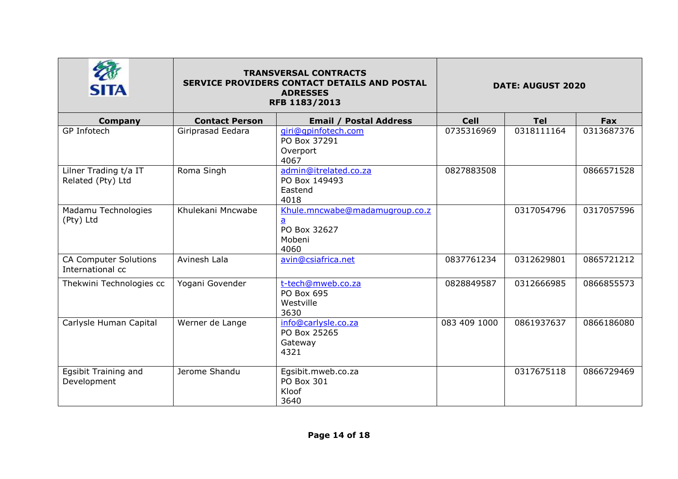| SITA                                             | <b>TRANSVERSAL CONTRACTS</b><br><b>SERVICE PROVIDERS CONTACT DETAILS AND POSTAL</b><br>RFB 1183/2013 | <b>DATE: AUGUST 2020</b>                                         |              |            |            |
|--------------------------------------------------|------------------------------------------------------------------------------------------------------|------------------------------------------------------------------|--------------|------------|------------|
| Company                                          | <b>Contact Person</b>                                                                                | <b>Email / Postal Address</b>                                    | <b>Cell</b>  | <b>Tel</b> | Fax        |
| GP Infotech                                      | Giriprasad Eedara                                                                                    | qiri@qpinfotech.com<br>PO Box 37291<br>Overport<br>4067          | 0735316969   | 0318111164 | 0313687376 |
| Lilner Trading t/a IT<br>Related (Pty) Ltd       | Roma Singh                                                                                           | admin@itrelated.co.za<br>PO Box 149493<br>Eastend<br>4018        | 0827883508   |            | 0866571528 |
| Madamu Technologies<br>(Pty) Ltd                 | Khulekani Mncwabe                                                                                    | Khule.mncwabe@madamugroup.co.z<br>PO Box 32627<br>Mobeni<br>4060 |              | 0317054796 | 0317057596 |
| <b>CA Computer Solutions</b><br>International cc | Avinesh Lala                                                                                         | avin@csiafrica.net                                               | 0837761234   | 0312629801 | 0865721212 |
| Thekwini Technologies cc                         | Yogani Govender                                                                                      | t-tech@mweb.co.za<br>PO Box 695<br>Westville<br>3630             | 0828849587   | 0312666985 | 0866855573 |
| Carlysle Human Capital                           | Werner de Lange                                                                                      | info@carlysle.co.za<br>PO Box 25265<br>Gateway<br>4321           | 083 409 1000 | 0861937637 | 0866186080 |
| Egsibit Training and<br>Development              | Jerome Shandu                                                                                        | Egsibit.mweb.co.za<br>PO Box 301<br>Kloof<br>3640                |              | 0317675118 | 0866729469 |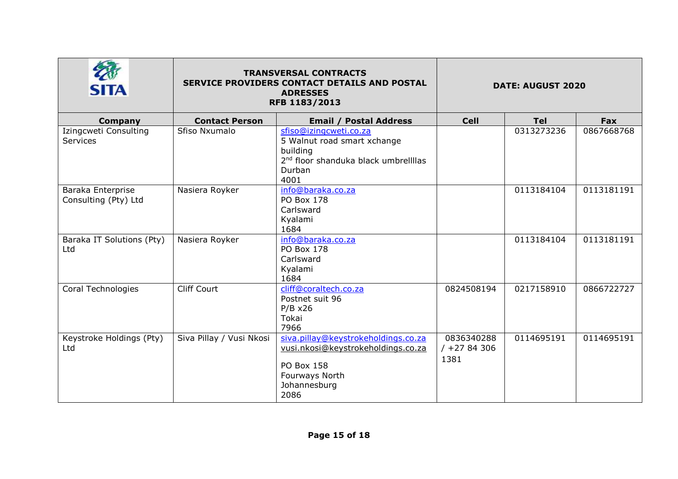| <b>SITA</b>                               | <b>TRANSVERSAL CONTRACTS</b><br>SERVICE PROVIDERS CONTACT DETAILS AND POSTAL<br><b>ADRESSES</b><br>RFB 1183/2013 |                                                                                                                                          | <b>DATE: AUGUST 2020</b>           |            |            |
|-------------------------------------------|------------------------------------------------------------------------------------------------------------------|------------------------------------------------------------------------------------------------------------------------------------------|------------------------------------|------------|------------|
| <b>Company</b>                            | <b>Contact Person</b>                                                                                            | <b>Email / Postal Address</b>                                                                                                            | <b>Cell</b>                        | <b>Tel</b> | Fax        |
| Izingcweti Consulting<br>Services         | Sfiso Nxumalo                                                                                                    | sfiso@izingcweti.co.za<br>5 Walnut road smart xchange<br>building<br>2 <sup>nd</sup> floor shanduka black umbrellllas<br>Durban<br>4001  |                                    | 0313273236 | 0867668768 |
| Baraka Enterprise<br>Consulting (Pty) Ltd | Nasiera Royker                                                                                                   | info@baraka.co.za<br><b>PO Box 178</b><br>Carlsward<br>Kyalami<br>1684                                                                   |                                    | 0113184104 | 0113181191 |
| Baraka IT Solutions (Pty)<br>Ltd          | Nasiera Royker                                                                                                   | info@baraka.co.za<br>PO Box 178<br>Carlsward<br>Kyalami<br>1684                                                                          |                                    | 0113184104 | 0113181191 |
| Coral Technologies                        | <b>Cliff Court</b>                                                                                               | cliff@coraltech.co.za<br>Postnet suit 96<br>$P/B \times 26$<br>Tokai<br>7966                                                             | 0824508194                         | 0217158910 | 0866722727 |
| Keystroke Holdings (Pty)<br>Ltd           | Siva Pillay / Vusi Nkosi                                                                                         | siva.pillay@keystrokeholdings.co.za<br>vusi.nkosi@keystrokeholdings.co.za<br><b>PO Box 158</b><br>Fourways North<br>Johannesburg<br>2086 | 0836340288<br>$/ +2784306$<br>1381 | 0114695191 | 0114695191 |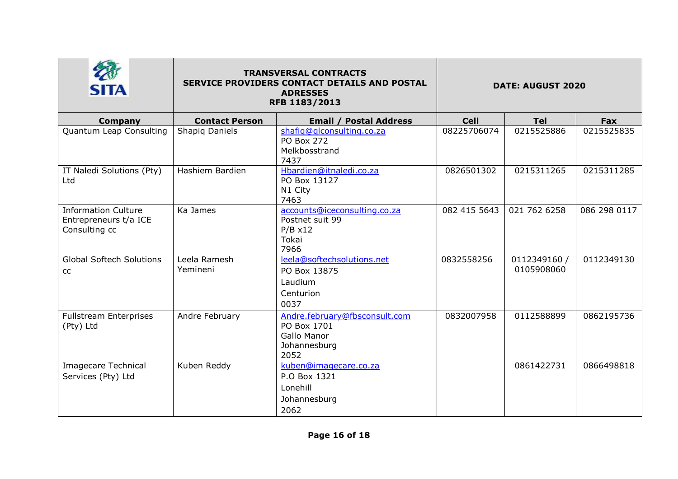|                                                                      | <b>TRANSVERSAL CONTRACTS</b><br>SERVICE PROVIDERS CONTACT DETAILS AND POSTAL<br>RFB 1183/2013 | <b>DATE: AUGUST 2020</b>                                                            |              |                            |              |
|----------------------------------------------------------------------|-----------------------------------------------------------------------------------------------|-------------------------------------------------------------------------------------|--------------|----------------------------|--------------|
| Company                                                              | <b>Contact Person</b>                                                                         | <b>Email / Postal Address</b>                                                       | <b>Cell</b>  | <b>Tel</b>                 | Fax          |
| Quantum Leap Consulting                                              | Shapig Daniels                                                                                | shafiq@qlconsulting.co.za<br>PO Box 272<br>Melkbosstrand<br>7437                    | 08225706074  | 0215525886                 | 0215525835   |
| IT Naledi Solutions (Pty)<br>Ltd                                     | Hashiem Bardien                                                                               | Hbardien@itnaledi.co.za<br>PO Box 13127<br>N1 City<br>7463                          | 0826501302   | 0215311265                 | 0215311285   |
| <b>Information Culture</b><br>Entrepreneurs t/a ICE<br>Consulting cc | Ka James                                                                                      | accounts@iceconsulting.co.za<br>Postnet suit 99<br>$P/B \times 12$<br>Tokai<br>7966 | 082 415 5643 | 021 762 6258               | 086 298 0117 |
| <b>Global Softech Solutions</b><br><b>CC</b>                         | Leela Ramesh<br>Yemineni                                                                      | leela@softechsolutions.net<br>PO Box 13875<br>Laudium<br>Centurion<br>0037          | 0832558256   | 0112349160 /<br>0105908060 | 0112349130   |
| <b>Fullstream Enterprises</b><br>(Pty) Ltd                           | Andre February                                                                                | Andre.february@fbsconsult.com<br>PO Box 1701<br>Gallo Manor<br>Johannesburg<br>2052 | 0832007958   | 0112588899                 | 0862195736   |
| <b>Imagecare Technical</b><br>Services (Pty) Ltd                     | Kuben Reddy                                                                                   | kuben@imagecare.co.za<br>P.O Box 1321<br>Lonehill<br>Johannesburg<br>2062           |              | 0861422731                 | 0866498818   |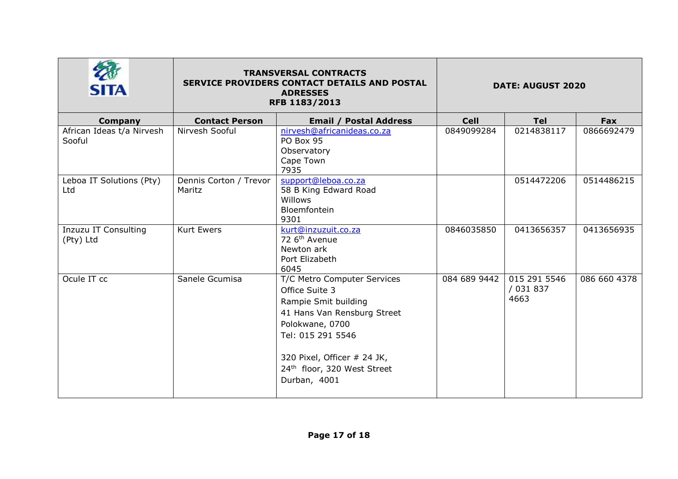| <b>SITA</b>                         | <b>TRANSVERSAL CONTRACTS</b><br><b>SERVICE PROVIDERS CONTACT DETAILS AND POSTAL</b><br><b>ADRESSES</b><br>RFB 1183/2013 |                                                                                                                                                                                                                            | <b>DATE: AUGUST 2020</b> |                                   |              |
|-------------------------------------|-------------------------------------------------------------------------------------------------------------------------|----------------------------------------------------------------------------------------------------------------------------------------------------------------------------------------------------------------------------|--------------------------|-----------------------------------|--------------|
| Company                             | <b>Contact Person</b>                                                                                                   | <b>Email / Postal Address</b>                                                                                                                                                                                              | <b>Cell</b>              | <b>Tel</b>                        | Fax          |
| African Ideas t/a Nirvesh<br>Sooful | Nirvesh Sooful                                                                                                          | nirvesh@africanideas.co.za<br>PO Box 95<br>Observatory<br>Cape Town<br>7935                                                                                                                                                | 0849099284               | 0214838117                        | 0866692479   |
| Leboa IT Solutions (Pty)<br>Ltd     | Dennis Corton / Trevor<br>Maritz                                                                                        | support@leboa.co.za<br>58 B King Edward Road<br>Willows<br><b>Bloemfontein</b><br>9301                                                                                                                                     |                          | 0514472206                        | 0514486215   |
| Inzuzu IT Consulting<br>(Pty) Ltd   | <b>Kurt Ewers</b>                                                                                                       | kurt@inzuzuit.co.za<br>72 6 <sup>th</sup> Avenue<br>Newton ark<br>Port Elizabeth<br>6045                                                                                                                                   | 0846035850               | 0413656357                        | 0413656935   |
| Ocule IT cc                         | Sanele Gcumisa                                                                                                          | T/C Metro Computer Services<br>Office Suite 3<br>Rampie Smit building<br>41 Hans Van Rensburg Street<br>Polokwane, 0700<br>Tel: 015 291 5546<br>320 Pixel, Officer # 24 JK,<br>24th floor, 320 West Street<br>Durban, 4001 | 084 689 9442             | 015 291 5546<br>/ 031 837<br>4663 | 086 660 4378 |